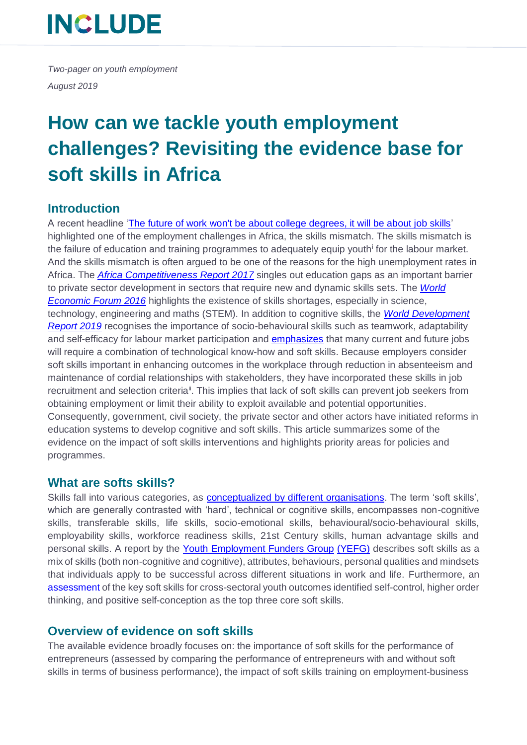*Two-pager on youth employment August 2019*

## **How can we tackle youth employment challenges? Revisiting the evidence base for soft skills in Africa**

### **Introduction**

A recent headline ['The future of work won't be about college degrees, it will be about job skills'](https://www.cnbc.com/2018/10/31/the-future-of-work-wont-be-about-degrees-it-will-be-about-skills.html) highlighted one of the employment challenges in Africa, the skills mismatch. The skills mismatch is the failure of education and training programmes to adequately equip youth<sup>i</sup> for the labour market. And the skills mismatch is often argued to be one of the reasons for the high unemployment rates in Africa. The *[Africa Competitiveness Report 2017](http://www3.weforum.org/docs/WEF_ACR_2017.pdf)* singles out education gaps as an important barrier to private sector development in sectors that require new and dynamic skills sets. The *[World](https://www.weforum.org/agenda/2016/05/south-africa-skills-shortage-how-do-we-fix-it/)  [Economic Forum 2016](https://www.weforum.org/agenda/2016/05/south-africa-skills-shortage-how-do-we-fix-it/)* highlights the existence of skills shortages, especially in science, technology, engineering and maths (STEM). In addition to cognitive skills, the *[World Development](http://documents.worldbank.org/curated/en/816281518818814423/pdf/2019-WDR-Report.pdf)  [Report](http://documents.worldbank.org/curated/en/816281518818814423/pdf/2019-WDR-Report.pdf) 2019* recognises the importance of socio-behavioural skills such as teamwork, adaptability and self-efficacy for labour market participation and emphasizes that many current and future jobs will require a combination of technological know-how and soft skills. Because employers consider soft skills important in enhancing outcomes in the workplace through reduction in absenteeism and maintenance of cordial relationships with stakeholders, they have incorporated these skills in job recruitment and selection criteria<sup>ii</sup>. This implies that lack of soft skills can prevent job seekers from obtaining employment or limit their ability to exploit available and potential opportunities. Consequently, government, civil society, the private sector and other actors have initiated reforms in education systems to develop cognitive and soft skills. This article summarizes some of the evidence on the impact of soft skills interventions and highlights priority areas for policies and programmes.

### **What are softs skills?**

Skills fall into various categories, as **conceptualized by different organisations**. The term 'soft skills', which are generally contrasted with 'hard', technical or cognitive skills, encompasses non-cognitive skills, transferable skills, life skills, socio-emotional skills, behavioural/socio-behavioural skills, employability skills, workforce readiness skills, 21st Century skills, human advantage skills and personal skills. A report by the [Youth Employment Funders Group](https://mastercardfdn.org/wp-content/uploads/2018/08/soft-skills-youth-employment-accessible2.pdf) (YEFG) describes soft skills as a mix of skills (both non-cognitive and cognitive), attributes, behaviours, personal qualities and mindsets that individuals apply to be successful across different situations in work and life. Furthermore, an [assessment](https://youtheconomicopportunities.org/sites/default/files/uploads/resource/resource-soft-skills-report.pdf) of the key soft skills for cross-sectoral youth outcomes identified self-control, higher order thinking, and positive self-conception as the top three core soft skills.

### **Overview of evidence on soft skills**

The available evidence broadly focuses on: the importance of soft skills for the performance of entrepreneurs (assessed by comparing the performance of entrepreneurs with and without soft skills in terms of business performance), the impact of soft skills training on employment-business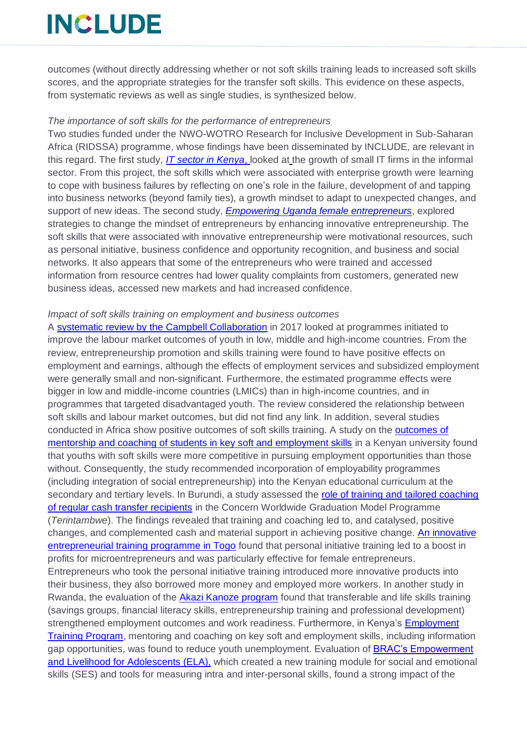outcomes (without directly addressing whether or not soft skills training leads to increased soft skills scores, and the appropriate strategies for the transfer soft skills. This evidence on these aspects, from systematic reviews as well as single studies, is synthesized below.

#### *The importance of soft skills for the performance of entrepreneurs*

Two studies funded under the NWO-WOTRO Research for Inclusive Development in Sub-Saharan Africa (RIDSSA) programme, whose findings have been disseminated by INCLUDE, are relevant in this regard. The first study, *[IT sector in Kenya](https://includeplatform.net/wp-content/uploads/2018/11/Harry-Barkema-policy-brief.pdf)*, looked at the growth of small IT firms in the informal sector. From this project, the soft skills which were associated with enterprise growth were learning to cope with business failures by reflecting on one's role in the failure, development of and tapping into business networks (beyond family ties), a growth mindset to adapt to unexpected changes, and support of new ideas. The second study, *[Empowering Uganda female entrepreneurs](https://includeplatform.net/wp-content/uploads/2018/11/Final-findings-Entrepreneurs-Uganda-INCLUDE-Oct-2018_layout-1.pdf)*, explored strategies to change the mindset of entrepreneurs by enhancing innovative entrepreneurship. The soft skills that were associated with innovative entrepreneurship were motivational resources, such as personal initiative, business confidence and opportunity recognition, and business and social networks. It also appears that some of the entrepreneurs who were trained and accessed information from resource centres had lower quality complaints from customers, generated new business ideas, accessed new markets and had increased confidence.

#### *Impact of soft skills training on employment and business outcomes*

A [systematic review by the Campbell Collaboration](https://www.ilo.org/wcmsp5/groups/public/---ed_emp/documents/publication/wcms_508938.pdf) in 2017 looked at programmes initiated to improve the labour market outcomes of youth in low, middle and high-income countries. From the review, entrepreneurship promotion and skills training were found to have positive effects on employment and earnings, although the effects of employment services and subsidized employment were generally small and non-significant. Furthermore, the estimated programme effects were bigger in low and middle-income countries (LMICs) than in high-income countries, and in programmes that targeted disadvantaged youth. The review considered the relationship between soft skills and labour market outcomes, but did not find any link. In addition, several studies conducted in Africa show positive outcomes of soft skills training. A study on the [outcomes of](https://www.researchgate.net/publication/325720738_Africa)  [mentorship and coaching of students in key soft and employment skills](https://www.researchgate.net/publication/325720738_Africa) in a Kenyan university found that youths with soft skills were more competitive in pursuing employment opportunities than those without. Consequently, the study recommended incorporation of employability programmes (including integration of social entrepreneurship) into the Kenyan educational curriculum at the secondary and tertiary levels. In Burundi, a study assessed the [role of training and tailored coaching](https://www.tandfonline.com/doi/full/10.1080/00220388.2018.1475648)  [of regular cash transfer recipients](https://www.tandfonline.com/doi/full/10.1080/00220388.2018.1475648) in the Concern Worldwide Graduation Model Programme (*Terintambwe*). The findings revealed that training and coaching led to, and catalysed, positive changes, and complemented cash and material support in achieving positive change. [An innovative](https://www.worldbank.org/en/news/feature/2018/01/18/new-mindset-increased-profits-lessons-from-an-innovative-entrepreneurial-training-in-togo)  [entrepreneurial training programme in Togo](https://www.worldbank.org/en/news/feature/2018/01/18/new-mindset-increased-profits-lessons-from-an-innovative-entrepreneurial-training-in-togo) found that personal initiative training led to a boost in profits for microentrepreneurs and was particularly effective for female entrepreneurs. Entrepreneurs who took the personal initiative training introduced more innovative products into their business, they also borrowed more money and employed more workers. In another study in Rwanda, the evaluation of the [Akazi Kanoze program](https://www.brookings.edu/wp-content/uploads/2016/05/Brookings_Skills-for-a-Changing-World_Advancing-Quality-Learning-for-Vibrant-Societies-3.pdf) found that transferable and life skills training (savings groups, financial literacy skills, entrepreneurship training and professional development) strengthened employment outcomes and work readiness. Furthermore, in Kenya's [Employment](https://www.researchgate.net/profile/Joseph_Assan2/publication/325720738_Africa)  [Training Program,](https://www.researchgate.net/profile/Joseph_Assan2/publication/325720738_Africa) mentoring and coaching on key soft and employment skills, including information gap opportunities, was found to reduce youth unemployment. Evaluation of BRAC's Empowerment [and Livelihood for Adolescents \(ELA\),](https://www.ucl.ac.uk/~uctpimr/research/ELA.pdf) which created a new training module for social and emotional skills (SES) and tools for measuring intra and inter-personal skills, found a strong impact of the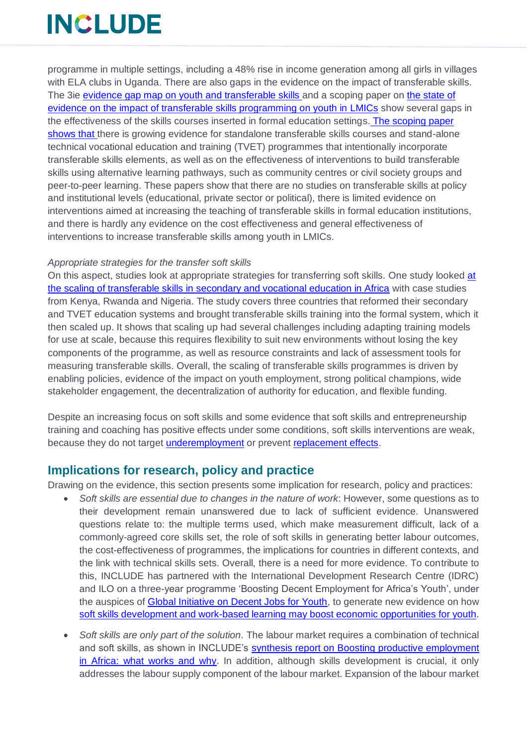programme in multiple settings, including a 48% rise in income generation among all girls in villages with ELA clubs in Uganda. There are also gaps in the evidence on the impact of transferable skills. The 3ie [evidence gap map on youth and transferable skills a](https://gapmaps.3ieimpact.org/evidence-maps/youth-transferable-skills-evidence-gap-map)nd a scoping paper on [the state of](https://www.researchgate.net/profile/Annette_Brown3/publication/281589935_The_state_of_evidence_on_the_impact_of_transferable_skills_programming_on_youth_in_low-_and_middle-income_countries/links/55eef58608ae0af8ee1afabc.pdf)  [evidence on the impact of transferable skills programming on youth in LMICs](https://www.researchgate.net/profile/Annette_Brown3/publication/281589935_The_state_of_evidence_on_the_impact_of_transferable_skills_programming_on_youth_in_low-_and_middle-income_countries/links/55eef58608ae0af8ee1afabc.pdf) show several gaps in the effectiveness of the skills courses inserted in formal education settings. The scoping paper shows that there is growing evidence for standalone transferable skills courses and stand-alone technical vocational education and training (TVET) programmes that intentionally incorporate transferable skills elements, as well as on the effectiveness of interventions to build transferable skills using alternative learning pathways, such as community centres or civil society groups and peer-to-peer learning. These papers show that there are no studies on transferable skills at policy and institutional levels (educational, private sector or political), there is limited evidence on interventions aimed at increasing the teaching of transferable skills in formal education institutions, and there is hardly any evidence on the cost effectiveness and general effectiveness of interventions to increase transferable skills among youth in LMICs.

#### *Appropriate strategies for the transfer soft skills*

On this aspect, studies look at appropriate strategies for transferring soft skills. One study looked [at](https://mastercardfdn.org/wp-content/uploads/2018/05/MCF_SkillsAtScale-March2017-3-1-accessible.pdf)  [the scaling of transferable skills in secondary and vocational education in Africa](https://mastercardfdn.org/wp-content/uploads/2018/05/MCF_SkillsAtScale-March2017-3-1-accessible.pdf) with case studies from Kenya, Rwanda and Nigeria. The study covers three countries that reformed their secondary and TVET education systems and brought transferable skills training into the formal system, which it then scaled up. It shows that scaling up had several challenges including adapting training models for use at scale, because this requires flexibility to suit new environments without losing the key components of the programme, as well as resource constraints and lack of assessment tools for measuring transferable skills. Overall, the scaling of transferable skills programmes is driven by enabling policies, evidence of the impact on youth employment, strong political champions, wide stakeholder engagement, the decentralization of authority for education, and flexible funding.

Despite an increasing focus on soft skills and some evidence that soft skills and entrepreneurship training and coaching has positive effects under some conditions, soft skills interventions are weak, because they do not target [underemployment](https://www.idrc.ca/en/article/youth-employment-sub-saharan-africa-taking-stock-evidence-and-knowledge-gaps) or prevent [replacement effects.](https://static.globalinnovationexchange.org/s3fs-public/asset/document/YE_Final-USAID.pdf)

### **Implications for research, policy and practice**

Drawing on the evidence, this section presents some implication for research, policy and practices:

- *Soft skills are essential due to changes in the nature of work*: However, some questions as to their development remain unanswered due to lack of sufficient evidence. Unanswered questions relate to: the multiple terms used, which make measurement difficult, lack of a commonly-agreed core skills set, the role of soft skills in generating better labour outcomes, the cost-effectiveness of programmes, the implications for countries in different contexts, and the link with technical skills sets. Overall, there is a need for more evidence. To contribute to this, INCLUDE has partnered with the International Development Research Centre (IDRC) and ILO on a three-year programme 'Boosting Decent Employment for Africa's Youth', under the auspices of [Global Initiative on Decent Jobs for Youth,](https://www.decentjobsforyouth.org/global-initiative#who-we-are) to generate new evidence on how [soft skills development and work-based learning](https://includeplatform.net/new-funding-to-boost-decent-employment-for-africas-youth/) may boost economic opportunities for youth.
- *Soft skills are only part of the solution*. The labour market requires a combination of technical and soft skills, as shown in INCLUDE's [synthesis report on Boosting productive employment](https://includeplatform.net/wp-content/uploads/2018/11/PE_synthesis.pdf)  [in Africa: what works and why.](https://includeplatform.net/wp-content/uploads/2018/11/PE_synthesis.pdf) In addition, although skills development is crucial, it only addresses the labour supply component of the labour market. Expansion of the labour market